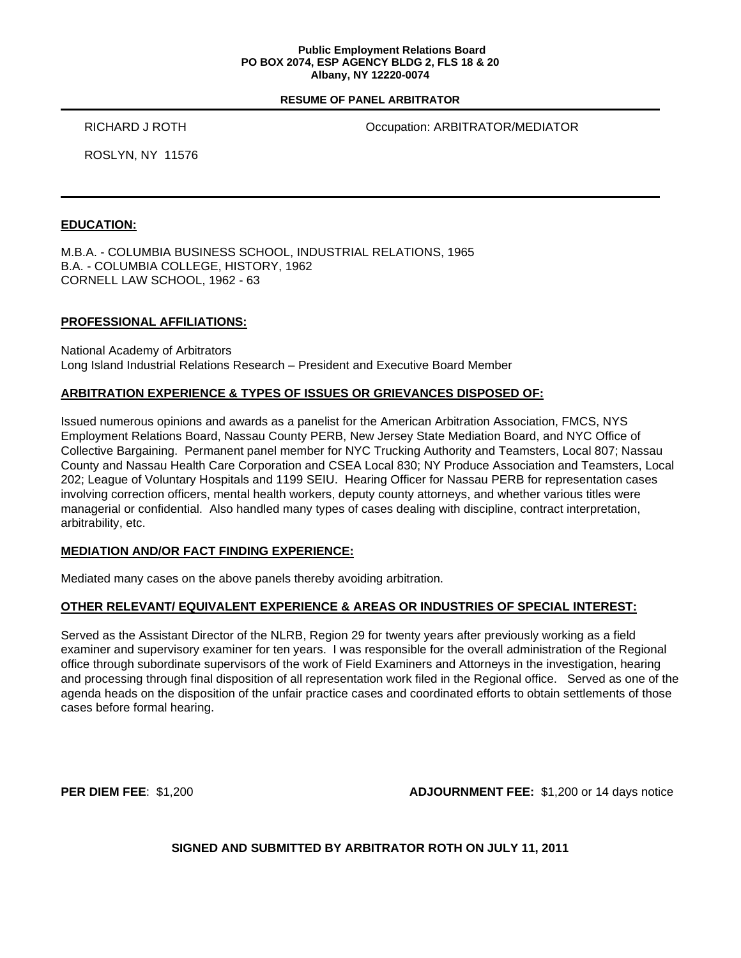#### **Public Employment Relations Board PO BOX 2074, ESP AGENCY BLDG 2, FLS 18 & 20 Albany, NY 12220-0074**

#### **RESUME OF PANEL ARBITRATOR**

RICHARD J ROTH **COLLECT CONTROLLECT CONTRATOR/MEDIATOR** 

ROSLYN, NY 11576

### **EDUCATION:**

M.B.A. - COLUMBIA BUSINESS SCHOOL, INDUSTRIAL RELATIONS, 1965 B.A. - COLUMBIA COLLEGE, HISTORY, 1962 CORNELL LAW SCHOOL, 1962 - 63

### **PROFESSIONAL AFFILIATIONS:**

National Academy of Arbitrators Long Island Industrial Relations Research – President and Executive Board Member

## **ARBITRATION EXPERIENCE & TYPES OF ISSUES OR GRIEVANCES DISPOSED OF:**

Issued numerous opinions and awards as a panelist for the American Arbitration Association, FMCS, NYS Employment Relations Board, Nassau County PERB, New Jersey State Mediation Board, and NYC Office of Collective Bargaining. Permanent panel member for NYC Trucking Authority and Teamsters, Local 807; Nassau County and Nassau Health Care Corporation and CSEA Local 830; NY Produce Association and Teamsters, Local 202; League of Voluntary Hospitals and 1199 SEIU. Hearing Officer for Nassau PERB for representation cases involving correction officers, mental health workers, deputy county attorneys, and whether various titles were managerial or confidential. Also handled many types of cases dealing with discipline, contract interpretation, arbitrability, etc.

## **MEDIATION AND/OR FACT FINDING EXPERIENCE:**

Mediated many cases on the above panels thereby avoiding arbitration.

## **OTHER RELEVANT/ EQUIVALENT EXPERIENCE & AREAS OR INDUSTRIES OF SPECIAL INTEREST:**

Served as the Assistant Director of the NLRB, Region 29 for twenty years after previously working as a field examiner and supervisory examiner for ten years. I was responsible for the overall administration of the Regional office through subordinate supervisors of the work of Field Examiners and Attorneys in the investigation, hearing and processing through final disposition of all representation work filed in the Regional office. Served as one of the agenda heads on the disposition of the unfair practice cases and coordinated efforts to obtain settlements of those cases before formal hearing.

**PER DIEM FEE**: \$1,200 **ADJOURNMENT FEE:** \$1,200 or 14 days notice

**SIGNED AND SUBMITTED BY ARBITRATOR ROTH ON JULY 11, 2011**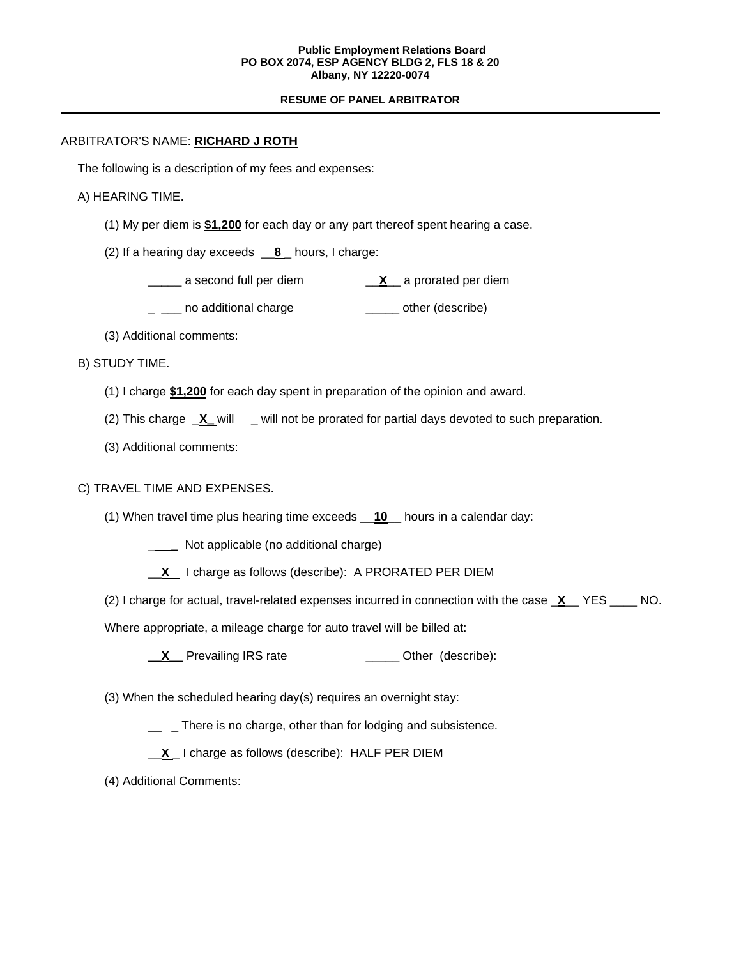#### **Public Employment Relations Board PO BOX 2074, ESP AGENCY BLDG 2, FLS 18 & 20 Albany, NY 12220-0074**

### **RESUME OF PANEL ARBITRATOR**

## ARBITRATOR'S NAME: **RICHARD J ROTH**

The following is a description of my fees and expenses:

# A) HEARING TIME.

- (1) My per diem is **\$1,200** for each day or any part thereof spent hearing a case.
- (2) If a hearing day exceeds \_\_**8** \_ hours, I charge:
	- \_\_\_\_\_ a second full per diem \_\_**X**\_\_ a prorated per diem
	- \_\_\_\_ no additional charge \_\_\_\_\_\_\_ other (describe)
- (3) Additional comments:
- B) STUDY TIME.
	- (1) I charge **\$1,200** for each day spent in preparation of the opinion and award.
	- (2) This charge **X\_** will \_\_ will not be prorated for partial days devoted to such preparation.
	- (3) Additional comments:

# C) TRAVEL TIME AND EXPENSES.

(1) When travel time plus hearing time exceeds \_\_**10**\_\_ hours in a calendar day:

**\_\_\_\_\_** Not applicable (no additional charge)

- \_\_**X** I charge as follows (describe): A PRORATED PER DIEM
- (2) I charge for actual, travel-related expenses incurred in connection with the case \_**X**\_\_ YES \_\_\_\_ NO.

Where appropriate, a mileage charge for auto travel will be billed at:

- **\_\_X** Prevailing IRS rate \_\_\_\_\_\_\_\_\_\_\_\_\_\_ Other (describe):
- (3) When the scheduled hearing day(s) requires an overnight stay:
	- \_\_\_ There is no charge, other than for lodging and subsistence.
	- \_\_**X** \_ I charge as follows (describe): HALF PER DIEM
- (4) Additional Comments: